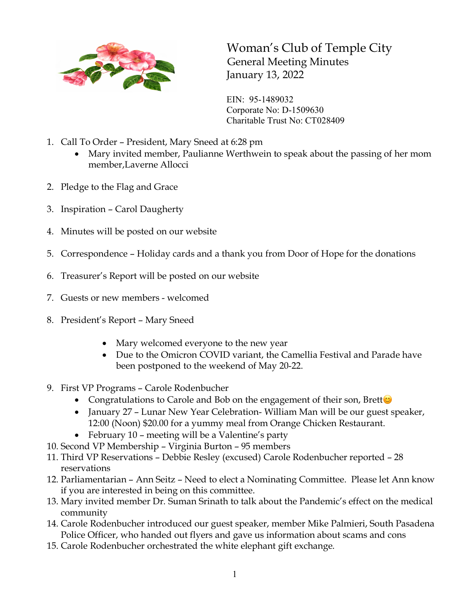

Woman's Club of Temple City General Meeting Minutes January 13, 2022

EIN: 95-1489032 Corporate No: D-1509630 Charitable Trust No: CT028409

- 1. Call To Order President, Mary Sneed at 6:28 pm
	- Mary invited member, Paulianne Werthwein to speak about the passing of her mom member,Laverne Allocci
- 2. Pledge to the Flag and Grace
- 3. Inspiration Carol Daugherty
- 4. Minutes will be posted on our website
- 5. Correspondence Holiday cards and a thank you from Door of Hope for the donations
- 6. Treasurer's Report will be posted on our website
- 7. Guests or new members welcomed
- 8. President's Report Mary Sneed
	- Mary welcomed everyone to the new year
	- Due to the Omicron COVID variant, the Camellia Festival and Parade have been postponed to the weekend of May 20-22.
- 9. First VP Programs Carole Rodenbucher
	- Congratulations to Carole and Bob on the engagement of their son, Brett $\odot$
	- January 27 Lunar New Year Celebration- William Man will be our guest speaker, 12:00 (Noon) \$20.00 for a yummy meal from Orange Chicken Restaurant.
	- February 10 meeting will be a Valentine's party
- 10. Second VP Membership Virginia Burton 95 members
- 11. Third VP Reservations Debbie Resley (excused) Carole Rodenbucher reported 28 reservations
- 12. Parliamentarian Ann Seitz Need to elect a Nominating Committee. Please let Ann know if you are interested in being on this committee.
- 13. Mary invited member Dr. Suman Srinath to talk about the Pandemic's effect on the medical community
- 14. Carole Rodenbucher introduced our guest speaker, member Mike Palmieri, South Pasadena Police Officer, who handed out flyers and gave us information about scams and cons
- 15. Carole Rodenbucher orchestrated the white elephant gift exchange.